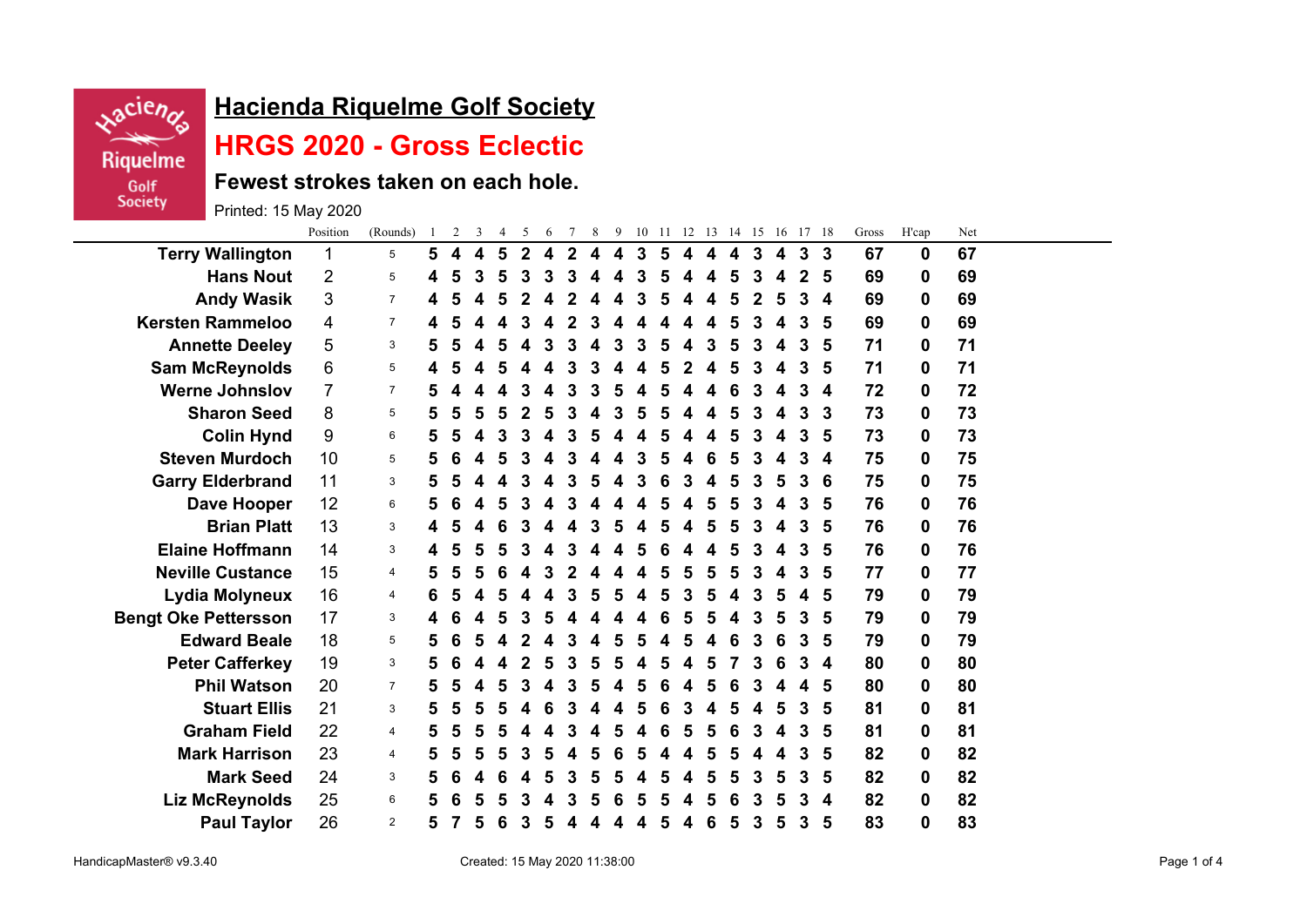

## **Hacienda Riquelme Golf Society**

## **HRGS 2020 - Gross Eclectic**

**Fewest strokes taken on each hole.**

Printed: 15 May 2020

|                             | Position       | (Rounds)       | -1 | $\overline{2}$ | 3 | $\overline{4}$ | 5              | 6 | $\tau$      | 8 |   | 9 10 11 12 13 14 15 16 17 18 |   |   |                  |   |              |                  |              |   | Gross | H'cap            | Net |  |
|-----------------------------|----------------|----------------|----|----------------|---|----------------|----------------|---|-------------|---|---|------------------------------|---|---|------------------|---|--------------|------------------|--------------|---|-------|------------------|-----|--|
| <b>Terry Wallington</b>     | 1              | 5              | 5  | 4              | 4 | 5              | $\overline{2}$ | 4 | $\mathbf 2$ | 4 | 4 | 3                            | 5 | 4 | $\blacktriangle$ | 4 | $\mathbf{3}$ | $\boldsymbol{4}$ | $\mathbf{3}$ | 3 | 67    | 0                | 67  |  |
| <b>Hans Nout</b>            | 2              | 5              | 4  | 5              | 3 | 5              | 3              | 3 | 3           |   |   | 3                            | 5 | 4 | 4                | 5 | 3            | 4                | $\mathbf{2}$ | 5 | 69    | 0                | 69  |  |
| <b>Andy Wasik</b>           | 3              | $\overline{7}$ | 4  | 5              | 4 | 5              |                |   |             |   |   |                              | 5 |   |                  | 5 | 2            | 5                | 3            | 4 | 69    | 0                | 69  |  |
| <b>Kersten Rammeloo</b>     | 4              | $\overline{7}$ | 4  | 5              | 4 | 4              |                | Δ | 2           | 3 |   |                              | 4 | 4 | 4                | 5 | 3            | 4                | 3            | 5 | 69    | $\bf{0}$         | 69  |  |
| <b>Annette Deeley</b>       | 5              | 3              | 5  | 5              |   | 5              |                | 3 | 3           |   | 3 |                              | 5 | 4 | 3                | 5 | 3            | 4                | 3            | 5 | 71    | 0                | 71  |  |
| <b>Sam McReynolds</b>       | 6              | 5              |    |                |   |                |                |   |             |   |   |                              |   |   |                  |   | 3            |                  | 3            | 5 | 71    | 0                | 71  |  |
| <b>Werne Johnslov</b>       | $\overline{7}$ | $\overline{7}$ | 5  | Δ              |   | Δ              | 3              |   | 3           | 3 | 5 |                              | 5 |   |                  | 6 | 3            | 4                | 3            | 4 | 72    | 0                | 72  |  |
| <b>Sharon Seed</b>          | 8              | 5              | 5  | 5              | 5 | 5              |                | 5 | 3           |   |   |                              | 5 |   |                  | 5 | 3            | 4                | 3            | 3 | 73    | $\bf{0}$         | 73  |  |
| <b>Colin Hynd</b>           | 9              | 6              | 5  | 5              | 4 | 3              |                | 4 | 3           | 5 |   |                              | 5 |   | 4                | 5 | 3            | 4                | 3            | 5 | 73    | $\bf{0}$         | 73  |  |
| <b>Steven Murdoch</b>       | 10             | 5              | 5  | 6              |   |                |                |   |             |   |   |                              | 5 |   | 6                |   | 3            |                  | 3            | 4 | 75    | $\mathbf 0$      | 75  |  |
| <b>Garry Elderbrand</b>     | 11             | 3              | 5  | 5              |   |                |                |   |             |   |   |                              |   |   |                  |   | 3            | 5                | 3            | 6 | 75    | 0                | 75  |  |
| Dave Hooper                 | 12             | 6              | 5  | 6              | 4 | 5              |                |   | 3           |   |   |                              | 5 |   | 5                | 5 | 3            | 4                | 3            | 5 | 76    | 0                | 76  |  |
| <b>Brian Platt</b>          | 13             | 3              | 4  | 5              |   | 6              |                |   |             |   |   |                              | 5 |   | 5                | 5 | 3            | 4                | 3            | 5 | 76    | 0                | 76  |  |
| <b>Elaine Hoffmann</b>      | 14             | 3              | 4  | 5              | 5 | 5              |                |   | 3           |   |   |                              | 6 |   | 4                | 5 | 3            | 4                | 3            | 5 | 76    | $\boldsymbol{0}$ | 76  |  |
| <b>Neville Custance</b>     | 15             | 4              | 5  | 5              |   |                |                |   |             |   |   |                              | 5 |   | 5                |   | 3            | 4                | 3            | 5 | 77    | $\mathbf 0$      | 77  |  |
| Lydia Molyneux              | 16             | 4              | 6  | 5              |   |                |                |   |             |   |   |                              | 5 |   |                  |   | 3            | 5                | 4            | 5 | 79    | 0                | 79  |  |
| <b>Bengt Oke Pettersson</b> | 17             | 3              |    | 6              |   | 5              | 3              | 5 |             |   |   |                              | 6 | 5 | 5                |   | 3            | 5                | 3            | 5 | 79    | 0                | 79  |  |
| <b>Edward Beale</b>         | 18             | 5              | 5  | 6              | 5 |                |                |   |             |   |   |                              |   |   |                  | 6 | 3            | 6                | 3            | 5 | 79    | $\mathbf 0$      | 79  |  |
| <b>Peter Cafferkey</b>      | 19             | 3              | 5  | 6              |   | 4              |                | 5 | 3           | 5 |   |                              | 5 |   | 5                |   | 3            | 6                | 3            | 4 | 80    | $\bf{0}$         | 80  |  |
| <b>Phil Watson</b>          | 20             | $\overline{7}$ | 5  | 5              |   |                |                |   |             |   |   |                              | 6 |   |                  |   |              |                  | 4            | 5 | 80    | 0                | 80  |  |
| <b>Stuart Ellis</b>         | 21             | 3              | 5  | 5              |   |                |                |   |             |   |   |                              |   |   |                  |   | 4            | 5                | 3            | 5 | 81    | 0                | 81  |  |
| <b>Graham Field</b>         | 22             | 4              | 5  | 5              | 5 | 5              |                |   | 3           |   | 5 |                              | 6 | 5 | 5                | 6 | 3            | 4                | 3            | 5 | 81    | 0                | 81  |  |
| <b>Mark Harrison</b>        | 23             | 4              | 5  | 5              | 5 | 5              |                |   |             |   |   |                              |   |   | 5                | 5 | 4            | 4                | 3            | 5 | 82    | $\mathbf 0$      | 82  |  |
| <b>Mark Seed</b>            | 24             | 3              | 5  | 6              |   | 6              |                | 5 | 3           | 5 | 5 |                              | 5 |   | 5                | 5 | 3            | 5                | 3            | 5 | 82    | 0                | 82  |  |
| <b>Liz McReynolds</b>       | 25             | 6              | 5  | 6              |   |                |                |   |             |   |   |                              |   |   |                  |   | 3            | 5                | 3            | 4 | 82    | 0                | 82  |  |
| <b>Paul Taylor</b>          | 26             | $\overline{2}$ | 5  |                | 5 | 6              | 3              | 5 | 4           |   | 4 |                              | 5 | 4 | 6                | 5 | 3            | 5                | 3            | 5 | 83    | 0                | 83  |  |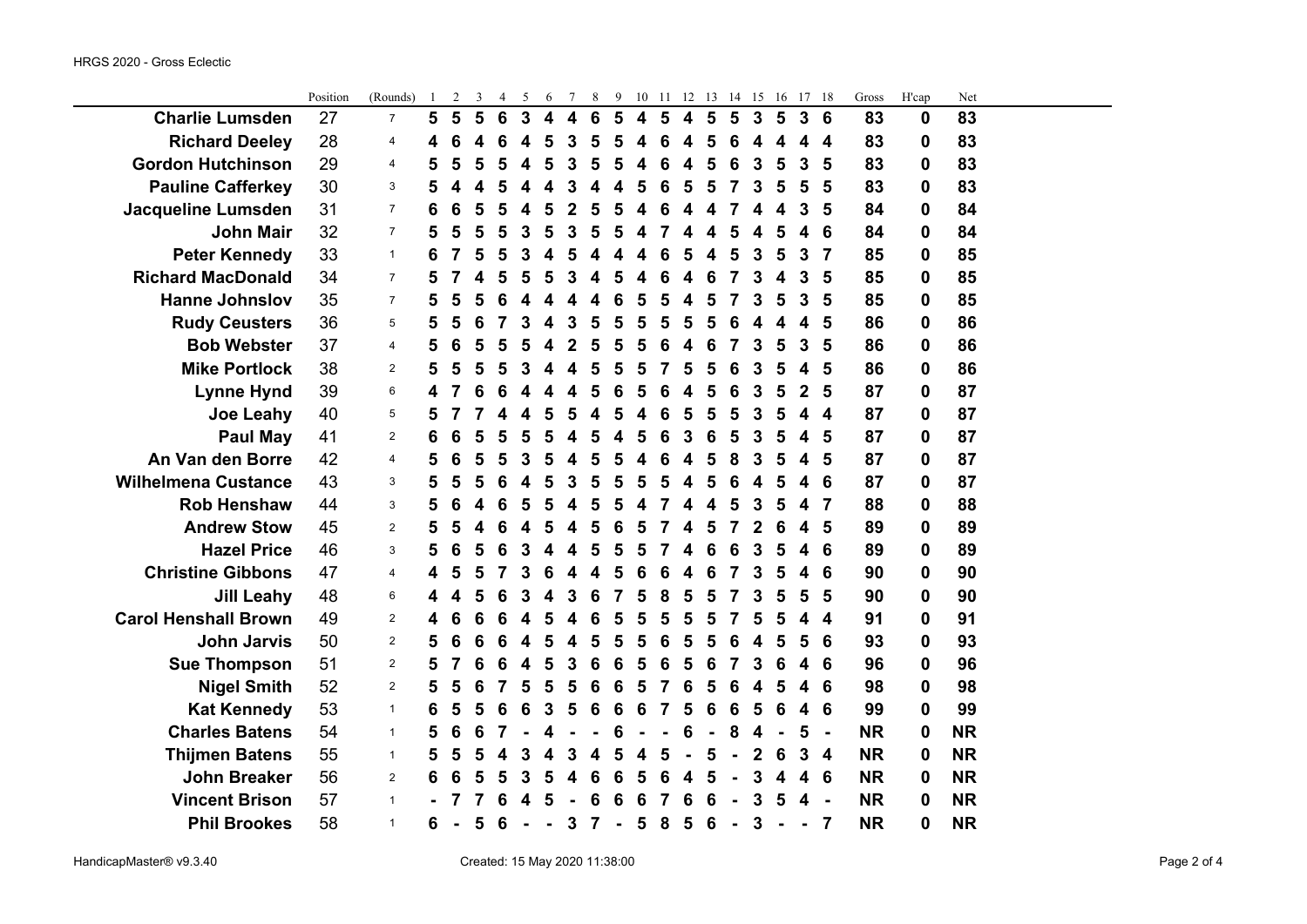|                             | Position | (Rounds)       | -1             | 2              | 3 | 4 | 5 | 6                       |                         | 8               | 9              | 10                      | -11 | 12               | -13            |                | 14 15        | -16            |              | 17 18            | Gross     | H'cap            | Net       |  |
|-----------------------------|----------|----------------|----------------|----------------|---|---|---|-------------------------|-------------------------|-----------------|----------------|-------------------------|-----|------------------|----------------|----------------|--------------|----------------|--------------|------------------|-----------|------------------|-----------|--|
| <b>Charlie Lumsden</b>      | 27       | $\overline{7}$ | $5\phantom{1}$ | $5\phantom{1}$ | 5 | 6 | 3 | $\overline{\mathbf{4}}$ | $\overline{\mathbf{4}}$ | $6\phantom{1}6$ | 5              | $\overline{\mathbf{4}}$ | 5   | $\boldsymbol{4}$ | $5\phantom{1}$ | $5\phantom{1}$ | $\mathbf{3}$ | $5\phantom{1}$ | $\mathbf{3}$ | 6                | 83        | $\mathbf 0$      | 83        |  |
| <b>Richard Deeley</b>       | 28       | 4              | 4              | 6              | 4 | 6 | 4 | 5                       | 3                       | 5               |                | 4                       | 6   | 4                | 5              | 6              | 4            |                | 4            | 4                | 83        | $\boldsymbol{0}$ | 83        |  |
| <b>Gordon Hutchinson</b>    | 29       | $\overline{a}$ | 5              | 5              | 5 | 5 |   | 5                       | 3                       | 5               |                | 4                       | 6   | 4                |                | 6              | 3            | 5              | 3            | 5                | 83        | 0                | 83        |  |
| <b>Pauline Cafferkey</b>    | 30       | 3              | 5              | 4              | 4 | 5 |   | 4                       |                         |                 |                | 5                       | 6   | 5                | 5              | 7              | 3            | 5              | 5            | 5                | 83        | 0                | 83        |  |
| <b>Jacqueline Lumsden</b>   | 31       | $\overline{7}$ | 6              | 6              | 5 | 5 |   | 5                       | 2                       | 5               |                | 4                       |     | 4                |                | 7              | 4            | 4              | 3            | 5                | 84        | $\bf{0}$         | 84        |  |
| <b>John Mair</b>            | 32       | $\overline{7}$ | 5              | 5              | 5 | 5 | 3 | 5                       | 3                       | 5               | 5              | 4                       |     | 4                | 4              | 5              | 4            | 5              | 4            | 6                | 84        | 0                | 84        |  |
| <b>Peter Kennedy</b>        | 33       | $\mathbf{1}$   | 6              | 7              | 5 | 5 | 3 | 4                       | 5                       | 4               |                | 4                       |     | 5                |                | 5              | 3            | 5              | 3            | 7                | 85        | 0                | 85        |  |
| <b>Richard MacDonald</b>    | 34       | $\overline{7}$ | 5              |                |   | 5 |   | 5                       |                         |                 |                |                         |     |                  |                |                |              |                | 3            | 5                | 85        | 0                | 85        |  |
| <b>Hanne Johnslov</b>       | 35       | $\overline{7}$ | 5              | 5              | 5 | 6 |   |                         |                         |                 |                | 5                       |     |                  |                |                | 3            |                | 3            | 5                | 85        | $\boldsymbol{0}$ | 85        |  |
| <b>Rudy Ceusters</b>        | 36       | 5              | 5              | 5              | 6 |   |   | 4                       | 3                       | 5               |                | 5                       |     | 5                |                | 6              |              |                | 4            | 5                | 86        | 0                | 86        |  |
| <b>Bob Webster</b>          | 37       | $\overline{a}$ | 5              | 6              | 5 | 5 |   |                         |                         | 5               |                | 5                       | 6   | 4                |                | 7              | 3            | 5              | 3            | 5                | 86        | 0                | 86        |  |
| <b>Mike Portlock</b>        | 38       | $\overline{2}$ | 5              | 5              | 5 | 5 |   | 4                       | 4                       | 5               | 5              | 5                       |     | 5                | 5              | 6              | 3            | 5              | 4            | 5                | 86        | 0                | 86        |  |
| <b>Lynne Hynd</b>           | 39       | 6              | 4              | 7              | 6 | 6 |   | 4                       | 4                       | 5               | 6              | 5                       | 6   | 4                | 5              | 6              | 3            | 5              | $\mathbf{2}$ | 5                | 87        | $\bf{0}$         | 87        |  |
| <b>Joe Leahy</b>            | 40       | 5              | 5              |                |   |   |   | 5                       | 5                       |                 |                |                         | 6   | 5                |                | 5              | 3            |                | 4            | $\boldsymbol{4}$ | 87        | 0                | 87        |  |
| <b>Paul May</b>             | 41       | $\overline{2}$ | 6              | 6              | 5 | 5 |   | 5                       |                         | 5               |                | 5                       |     | 3                |                | 5              | 3            |                | 4            | 5                | 87        | 0                | 87        |  |
| An Van den Borre            | 42       | 4              | 5              | 6              | 5 | 5 |   | 5                       |                         | 5               |                | Δ                       | 6   |                  |                | 8              | 3            | 5              | 4            | 5                | 87        | $\mathbf 0$      | 87        |  |
| <b>Wilhelmena Custance</b>  | 43       | 3              | 5              | 5              | 5 | 6 |   | 5                       | 3                       | 5               |                | 5                       |     |                  |                | 6              | 4            | 5              | 4            | 6                | 87        | 0                | 87        |  |
| <b>Rob Henshaw</b>          | 44       | 3              | 5              | 6              | 4 | 6 | 5 | 5                       | 4                       | 5               |                | 4                       |     | 4                |                | 5              | 3            |                | 4            | 7                | 88        | $\boldsymbol{0}$ | 88        |  |
| <b>Andrew Stow</b>          | 45       | $\overline{2}$ | 5              | 5              | 4 | 6 | 4 | 5                       | 4                       | 5               | 6              | 5                       |     | 4                | 5              | 7              | 2            | 6              | 4            | 5                | 89        | $\boldsymbol{0}$ | 89        |  |
| <b>Hazel Price</b>          | 46       | 3              | 5              | 6              | 5 | 6 | 3 | 4                       | 4                       | 5               |                | 5                       |     |                  |                | 6              | 3            | 5              | 4            | 6                | 89        | 0                | 89        |  |
| <b>Christine Gibbons</b>    | 47       | $\overline{a}$ | 4              | 5              |   |   |   | 6                       |                         |                 |                | 6                       |     |                  |                |                |              |                | 4            | 6                | 90        | 0                | 90        |  |
| <b>Jill Leahy</b>           | 48       | 6              | 4              | 4              | 5 | 6 |   | 4                       |                         | 6               |                | 5                       | 8   | 5                |                |                | 3            | 5              | 5            | 5                | 90        | $\bf{0}$         | 90        |  |
| <b>Carol Henshall Brown</b> | 49       | $\overline{2}$ | 4              | 6              | 6 | 6 |   | 5                       |                         |                 |                | 5                       |     | 5                |                |                |              |                | 4            | $\boldsymbol{4}$ | 91        | 0                | 91        |  |
| <b>John Jarvis</b>          | 50       | $\overline{2}$ | 5              | 6              | 6 | 6 |   | 5                       |                         | 5               |                | 5                       |     | 5                |                |                |              |                | 5            | 6                | 93        | 0                | 93        |  |
| <b>Sue Thompson</b>         | 51       | $\overline{2}$ | 5              | 7              | 6 | 6 | 4 | 5                       | 3                       | 6               | 6              | 5                       | 6   | 5                | 6              | 7              | 3            | 6              | 4            | 6                | 96        | 0                | 96        |  |
| <b>Nigel Smith</b>          | 52       | $\overline{2}$ | 5              | 5              | 6 | 7 | 5 | 5                       | 5                       | 6               | 6              | 5                       |     | 6                | 5              | 6              | 4            | 5              | 4            | 6                | 98        | $\bf{0}$         | 98        |  |
| <b>Kat Kennedy</b>          | 53       | $\mathbf{1}$   | 6              | 5              | 5 | 6 | 6 | 3                       | 5                       | 6               | 6              | 6                       |     | 5                | 6              | 6              | 5            |                | 4            | 6                | 99        | 0                | 99        |  |
| <b>Charles Batens</b>       | 54       | $\mathbf{1}$   | 5              | 6              | 6 |   |   |                         |                         |                 |                |                         |     | 6                |                | 8              | 4            |                | 5            | $\overline{a}$   | <b>NR</b> | 0                | <b>NR</b> |  |
| <b>Thijmen Batens</b>       | 55       | $\mathbf{1}$   | 5              | 5              | 5 | 4 | 3 | 4                       | 3                       |                 |                | Δ                       | 5   |                  | 5              |                | 2            | 6              | 3            | $\overline{4}$   | <b>NR</b> | $\boldsymbol{0}$ | <b>NR</b> |  |
| <b>John Breaker</b>         | 56       | 2              | 6              | 6              | 5 | 5 |   | 5                       |                         | 6               |                | 5                       |     |                  |                |                | 3            |                | 4            | 6                | <b>NR</b> | 0                | <b>NR</b> |  |
| <b>Vincent Brison</b>       | 57       | $\mathbf{1}$   |                | 7              |   | 6 |   | 5                       |                         | 6               | 6              | 6                       |     | 6                |                |                | 3            | 5              | 4            | $\blacksquare$   | <b>NR</b> | 0                | <b>NR</b> |  |
| <b>Phil Brookes</b>         | 58       | $\mathbf{1}$   | 6              | $\blacksquare$ | 5 | 6 |   | $\blacksquare$          | $\mathbf{3}$            | $\overline{7}$  | $\blacksquare$ | $5\phantom{1}$          | 8   | 5                | 6              | $\blacksquare$ | 3            |                |              | 7                | <b>NR</b> | $\bf{0}$         | <b>NR</b> |  |

Position (Rounds) 1 2 3 4 5 6 7 8 9 10 11 12 13 14 15 16 17 18 Gross H'cap Net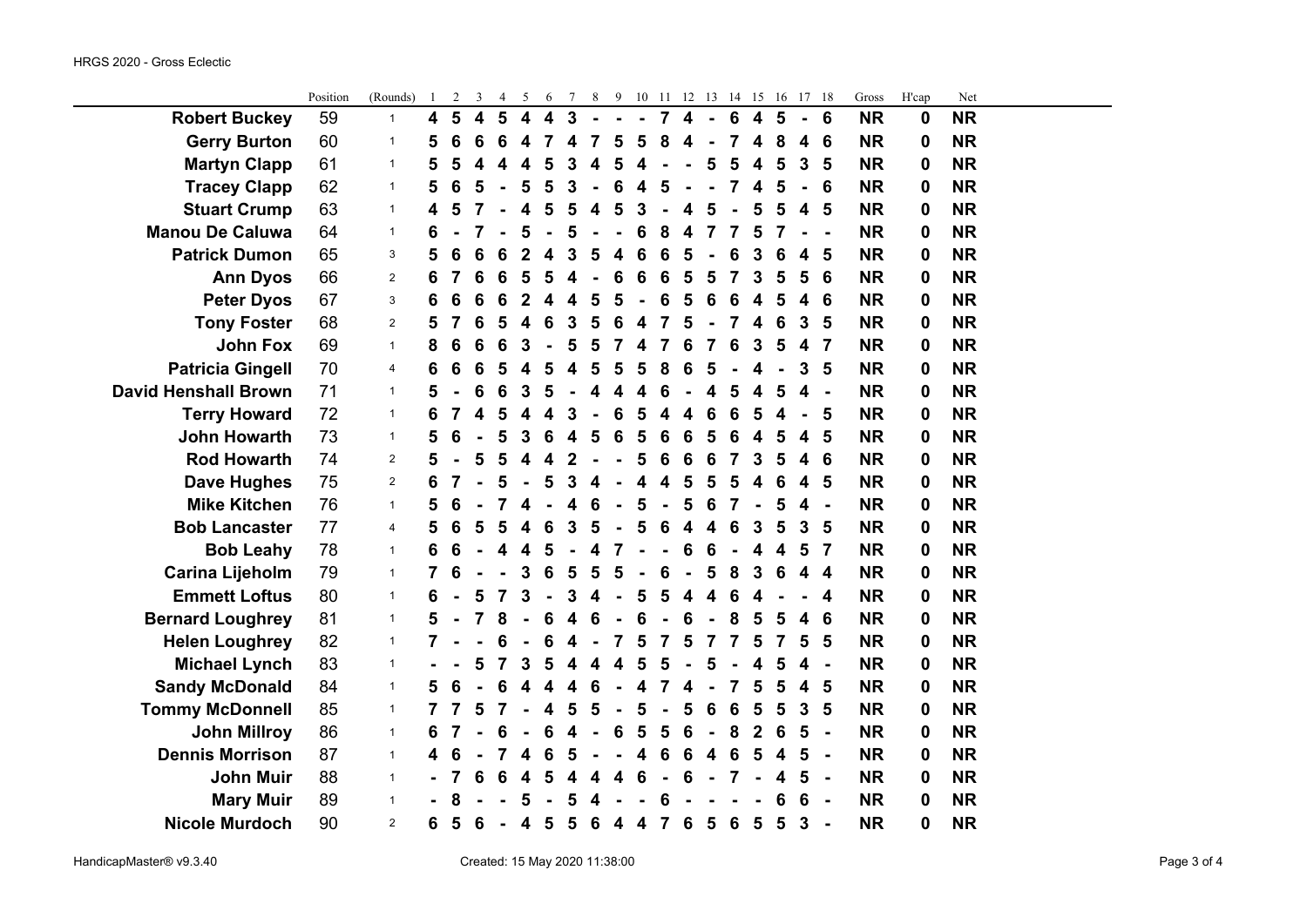÷.

|                             | Position | (Rounds)       | $\mathbf{1}$            | 2              | 3                       | 4              | 5                       | 6                       | 7 | 8 | 9 | 10 11                   |                |                         |                |                 |                         |                | 12  13  14  15  16  17  18 |                | Gross     | H'cap       | Net       |  |
|-----------------------------|----------|----------------|-------------------------|----------------|-------------------------|----------------|-------------------------|-------------------------|---|---|---|-------------------------|----------------|-------------------------|----------------|-----------------|-------------------------|----------------|----------------------------|----------------|-----------|-------------|-----------|--|
| <b>Robert Buckey</b>        | 59       | $\mathbf{1}$   | $\overline{\mathbf{4}}$ | $5\phantom{1}$ | $\overline{\mathbf{4}}$ | $5\phantom{1}$ | $\overline{\mathbf{4}}$ | $\overline{\mathbf{4}}$ | 3 |   |   | $\blacksquare$          | $\overline{7}$ | $\overline{\mathbf{4}}$ | $\blacksquare$ | $6\phantom{1}6$ | $\overline{\mathbf{4}}$ | $5\phantom{1}$ | $\blacksquare$             | 6              | <b>NR</b> | $\mathbf 0$ | <b>NR</b> |  |
| <b>Gerry Burton</b>         | 60       | $\mathbf{1}$   | 5                       | 6              | 6                       | 6              | 4                       | 7                       | 4 |   | 5 | 5                       | 8              | 4                       |                |                 | 4                       | 8              | 4                          | 6              | <b>NR</b> | $\mathbf 0$ | <b>NR</b> |  |
| <b>Martyn Clapp</b>         | 61       | $\mathbf{1}$   | 5                       | 5              | 4                       | 4              | 4                       | 5                       | 3 | 4 | 5 | 4                       |                |                         | 5              | 5               | 4                       | 5              | 3                          | 5              | <b>NR</b> | 0           | <b>NR</b> |  |
| <b>Tracey Clapp</b>         | 62       | $\mathbf{1}$   | 5                       | 6              | 5                       |                | 5                       | 5                       | 3 |   | 6 | 4                       | 5              |                         | $\blacksquare$ | 7               | 4                       | 5              | $\blacksquare$             | 6              | <b>NR</b> | 0           | <b>NR</b> |  |
| <b>Stuart Crump</b>         | 63       | $\mathbf{1}$   | 4                       | 5              | 7                       |                | 4                       | 5                       | 5 | 4 | 5 | 3                       |                | 4                       | 5              | ÷,              | 5                       | 5              | $\overline{\mathbf{4}}$    | 5              | <b>NR</b> | 0           | <b>NR</b> |  |
| <b>Manou De Caluwa</b>      | 64       | $\mathbf{1}$   | 6                       |                | 7                       |                | 5                       |                         | 5 |   |   | 6                       | 8              | 4                       | $\overline{7}$ | 7               | 5                       | 7              |                            |                | <b>NR</b> | $\bf{0}$    | <b>NR</b> |  |
| <b>Patrick Dumon</b>        | 65       | 3              | 5                       | 6              | 6                       | 6              | $\overline{2}$          | 4                       | 3 | 5 | 4 | 6                       | 6              | 5                       |                | 6               | 3                       | 6              | 4                          | 5              | <b>NR</b> | 0           | <b>NR</b> |  |
| <b>Ann Dyos</b>             | 66       | $\overline{2}$ | 6                       | 7              | 6                       | 6              | 5                       | 5                       | 4 |   | 6 | 6                       | 6              | 5                       | 5              | 7               | 3                       | 5              | 5                          | 6              | <b>NR</b> | 0           | <b>NR</b> |  |
| <b>Peter Dyos</b>           | 67       | 3              | 6                       | 6              | 6                       | 6              | $\overline{2}$          | 4                       |   | 5 | 5 |                         | 6              | 5                       | 6              | 6               | 4                       | 5              | 4                          | 6              | <b>NR</b> | 0           | <b>NR</b> |  |
| <b>Tony Foster</b>          | 68       | $\sqrt{2}$     | 5                       | 7              | 6                       | 5              | 4                       | 6                       | 3 | 5 | 6 | 4                       | $\overline{7}$ | 5                       | $\blacksquare$ | 7               | 4                       | 6              | 3                          | 5              | <b>NR</b> | $\bf{0}$    | <b>NR</b> |  |
| <b>John Fox</b>             | 69       | $\mathbf{1}$   | 8                       | 6              | 6                       | 6              | 3                       | $\blacksquare$          | 5 | 5 |   | 4                       | 7              | 6                       | 7              | 6               | 3                       | 5              | 4                          | $\overline{7}$ | <b>NR</b> | 0           | <b>NR</b> |  |
| <b>Patricia Gingell</b>     | 70       | 4              | 6                       | 6              | 6                       | 5              | 4                       | 5                       | 4 | 5 | 5 | 5                       | 8              | 6                       | 5              |                 | 4                       |                | 3                          | 5              | <b>NR</b> | $\bf{0}$    | <b>NR</b> |  |
| <b>David Henshall Brown</b> | 71       | $\mathbf{1}$   | 5                       |                | 6                       | 6              | 3                       | 5                       |   | 4 | Δ | 4                       | 6              |                         | 4              | 5               | 4                       | 5              | 4                          | $\blacksquare$ | <b>NR</b> | $\bf{0}$    | <b>NR</b> |  |
| <b>Terry Howard</b>         | 72       | $\mathbf{1}$   | 6                       |                | 4                       | 5              | 4                       | 4                       | 3 |   |   |                         |                | 4                       | 6              | 6               | 5                       |                |                            | 5              | <b>NR</b> | 0           | <b>NR</b> |  |
| <b>John Howarth</b>         | 73       | $\mathbf{1}$   | 5                       | 6              |                         | 5              | 3                       | 6                       | 4 | 5 | 6 | 5                       | 6              | 6                       | 5              | 6               | 4                       | 5              | 4                          | 5              | <b>NR</b> | 0           | <b>NR</b> |  |
| <b>Rod Howarth</b>          | 74       | $\overline{2}$ | 5                       |                | 5                       | 5              | 4                       | 4                       | 2 |   |   | 5                       | 6              | 6                       | 6              | 7               | 3                       | 5              | 4                          | 6              | <b>NR</b> | $\bf{0}$    | <b>NR</b> |  |
| <b>Dave Hughes</b>          | 75       | $\overline{2}$ | 6                       |                |                         | 5              |                         | 5                       | 3 | 4 |   | 4                       | 4              | 5                       | 5              | 5               | 4                       | 6              | 4                          | 5              | <b>NR</b> | 0           | <b>NR</b> |  |
| <b>Mike Kitchen</b>         | 76       | $\mathbf{1}$   | 5                       | 6              |                         | 7              | 4                       |                         | 4 | 6 |   | 5                       | $\blacksquare$ | 5                       | 6              | 7               | $\blacksquare$          | 5              | 4                          | $\blacksquare$ | <b>NR</b> | $\bf{0}$    | <b>NR</b> |  |
| <b>Bob Lancaster</b>        | 77       | $\overline{4}$ | 5                       | 6              | 5                       | 5              | 4                       | 6                       | 3 |   |   | 5                       | 6              | 4                       | 4              | 6               | 3                       | 5              | 3                          | 5              | <b>NR</b> | 0           | <b>NR</b> |  |
| <b>Bob Leahy</b>            | 78       | $\mathbf{1}$   | 6                       | 6              |                         | 4              | 4                       | 5                       |   |   | 7 |                         |                | 6                       | 6              |                 | 4                       | 4              | 5                          | $\overline{7}$ | <b>NR</b> | $\bf{0}$    | <b>NR</b> |  |
| <b>Carina Lijeholm</b>      | 79       | $\mathbf{1}$   |                         | 6              |                         |                | 3                       | 6                       | 5 |   |   |                         | 6              | $\blacksquare$          | 5              | 8               | 3                       | 6              | 4                          | 4              | <b>NR</b> | 0           | <b>NR</b> |  |
| <b>Emmett Loftus</b>        | 80       | $\mathbf{1}$   | 6                       |                | 5                       | 7              | 3                       | $\blacksquare$          | 3 |   |   | 5                       | 5              | 4                       | 4              | 6               | 4                       |                |                            | 4              | <b>NR</b> | $\bf{0}$    | <b>NR</b> |  |
| <b>Bernard Loughrey</b>     | 81       | $\mathbf{1}$   | 5                       |                | 7                       | 8              |                         | 6                       | 4 |   |   | 6                       |                | 6                       |                | 8               | 5                       | 5              | 4                          | 6              | <b>NR</b> | $\bf{0}$    | <b>NR</b> |  |
| <b>Helen Loughrey</b>       | 82       | $\mathbf{1}$   |                         |                |                         | 6              |                         | 6                       |   |   | 7 | 5                       | 7              | 5                       | 7              | 7               | 5                       | 7              | 5                          | 5              | <b>NR</b> | 0           | <b>NR</b> |  |
| <b>Michael Lynch</b>        | 83       | $\mathbf{1}$   |                         |                | 5                       | 7              | 3                       | 5                       | 4 | 4 | 4 | 5                       | 5              | ÷                       | 5              |                 | 4                       | 5              | 4                          | $\blacksquare$ | <b>NR</b> | 0           | <b>NR</b> |  |
| <b>Sandy McDonald</b>       | 84       | $\mathbf{1}$   | 5                       | 6              |                         | 6              | 4                       | 4                       |   |   |   | 4                       | 7              | 4                       |                | 7               | 5                       | 5              | $\overline{\mathbf{4}}$    | 5              | <b>NR</b> | $\bf{0}$    | <b>NR</b> |  |
| <b>Tommy McDonnell</b>      | 85       | $\mathbf{1}$   |                         |                | 5                       | 7              |                         | 4                       | 5 |   |   | 5                       |                | 5                       | 6              | 6               | 5                       | 5              | 3                          | 5              | <b>NR</b> | 0           | <b>NR</b> |  |
| <b>John Millroy</b>         | 86       | $\mathbf{1}$   | 6                       |                |                         | 6              |                         | 6                       |   |   | 6 | 5                       | 5              | 6                       | $\blacksquare$ | 8               | $\mathbf{2}$            | 6              | 5                          | $\blacksquare$ | <b>NR</b> | 0           | <b>NR</b> |  |
| <b>Dennis Morrison</b>      | 87       | $\mathbf{1}$   | 4                       | 6              |                         | 7              | 4                       | 6                       | 5 |   |   | 4                       | 6              | 6                       | 4              | 6               | 5                       | 4              | 5                          | $\blacksquare$ | <b>NR</b> | 0           | <b>NR</b> |  |
| <b>John Muir</b>            | 88       | $\mathbf{1}$   |                         |                | 6                       | 6              | 4                       | 5                       | 4 |   |   | 6                       |                | 6                       |                | $\overline{7}$  |                         | 4              | 5                          | $\blacksquare$ | <b>NR</b> | $\bf{0}$    | <b>NR</b> |  |
| <b>Mary Muir</b>            | 89       | $\mathbf{1}$   |                         | 8              |                         |                | 5                       |                         | 5 |   |   |                         | 6              |                         |                |                 |                         | 6              | 6                          |                | <b>NR</b> | 0           | <b>NR</b> |  |
| <b>Nicole Murdoch</b>       | 90       | $\overline{2}$ | 6                       | 5              | 6                       | $\blacksquare$ | $\overline{\mathbf{4}}$ | 5                       | 5 | 6 | 4 | $\overline{\mathbf{4}}$ | $\overline{7}$ | 6                       | 5              | 6               | $5\phantom{1}$          | 5              | 3                          |                | <b>NR</b> | $\bf{0}$    | <b>NR</b> |  |